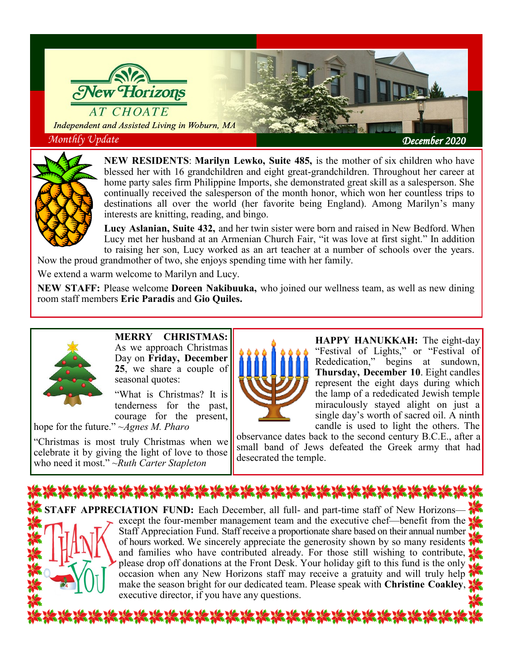



**NEW RESIDENTS**: **Marilyn Lewko, Suite 485,** is the mother of six children who have blessed her with 16 grandchildren and eight great-grandchildren. Throughout her career at home party sales firm Philippine Imports, she demonstrated great skill as a salesperson. She continually received the salesperson of the month honor, which won her countless trips to destinations all over the world (her favorite being England). Among Marilyn's many interests are knitting, reading, and bingo.

**Lucy Aslanian, Suite 432,** and her twin sister were born and raised in New Bedford. When Lucy met her husband at an Armenian Church Fair, "it was love at first sight." In addition to raising her son, Lucy worked as an art teacher at a number of schools over the years. Now the proud grandmother of two, she enjoys spending time with her family.

We extend a warm welcome to Marilyn and Lucy.

**NEW STAFF:** Please welcome **Doreen Nakibuuka,** who joined our wellness team, as well as new dining room staff members **Eric Paradis** and **Gio Quiles.** 



**MERRY CHRISTMAS:**  As we approach Christmas Day on **Friday, December 25**, we share a couple of seasonal quotes:

"What is Christmas? It is tenderness for the past, courage for the present,

hope for the future." ~*Agnes M. Pharo*

"Christmas is most truly Christmas when we celebrate it by giving the light of love to those who need it most." ~*Ruth Carter Stapleton*



**HAPPY HANUKKAH:** The eight-day "Festival of Lights," or "Festival of Rededication," begins at sundown, **Thursday, December 10**. Eight candles represent the eight days during which the lamp of a rededicated Jewish temple miraculously stayed alight on just a single day's worth of sacred oil. A ninth candle is used to light the others. The

observance dates back to the second century B.C.E., after a small band of Jews defeated the Greek army that had desecrated the temple.